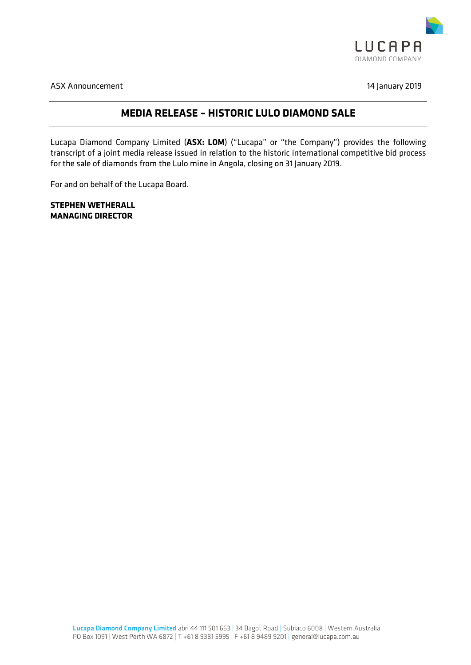

ASX Announcement 14 January 2019

### **MEDIA RELEASE – HISTORIC LULO DIAMOND SALE**

Lucapa Diamond Company Limited (**ASX: LOM**) ("Lucapa" or "the Company") provides the following transcript of a joint media release issued in relation to the historic international competitive bid process for the sale of diamonds from the Lulo mine in Angola, closing on 31 January 2019.

For and on behalf of the Lucapa Board.

**STEPHEN WETHERALL MANAGING DIRECTOR**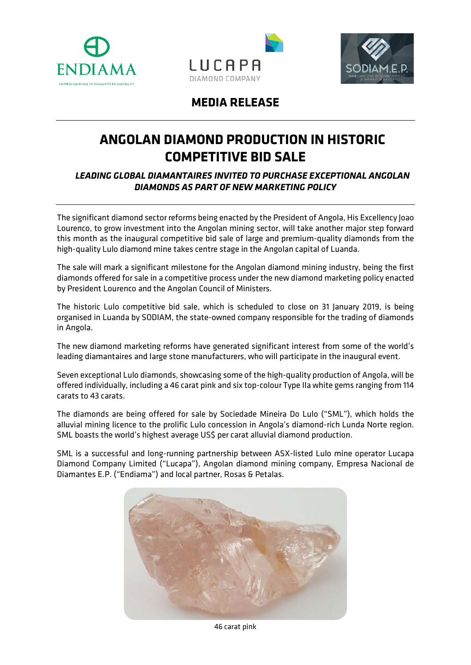





## **MEDIA RELEASE**

# **ANGOLAN DIAMOND PRODUCTION IN HISTORIC COMPETITIVE BID SALE**

*LEADING GLOBAL DIAMANTAIRES INVITED TO PURCHASE EXCEPTIONAL ANGOLAN DIAMONDS AS PART OF NEW MARKETING POLICY*

The significant diamond sector reforms being enacted by the President of Angola, His Excellency Joao Lourenco, to grow investment into the Angolan mining sector, will take another major step forward this month as the inaugural competitive bid sale of large and premium-quality diamonds from the high-quality Lulo diamond mine takes centre stage in the Angolan capital of Luanda.

The sale will mark a significant milestone for the Angolan diamond mining industry, being the first diamonds offered for sale in a competitive process under the new diamond marketing policy enacted by President Lourenco and the Angolan Council of Ministers.

The historic Lulo competitive bid sale, which is scheduled to close on 31 January 2019, is being organised in Luanda by SODIAM, the state-owned company responsible for the trading of diamonds in Angola.

The new diamond marketing reforms have generated significant interest from some of the world's leading diamantaires and large stone manufacturers, who will participate in the inaugural event.

Seven exceptional Lulo diamonds, showcasing some of the high-quality production of Angola, will be offered individually, including a 46 carat pink and six top-colour Type IIa white gems ranging from 114 carats to 43 carats.

The diamonds are being offered for sale by Sociedade Mineira Do Lulo ("SML"), which holds the alluvial mining licence to the prolific Lulo concession in Angola's diamond-rich Lunda Norte region. SML boasts the world's highest average US\$ per carat alluvial diamond production.

SML is a successful and long-running partnership between ASX-listed Lulo mine operator Lucapa Diamond Company Limited ("Lucapa"), Angolan diamond mining company, Empresa Nacional de Diamantes E.P. ("Endiama") and local partner, Rosas & Petalas.



46 carat pink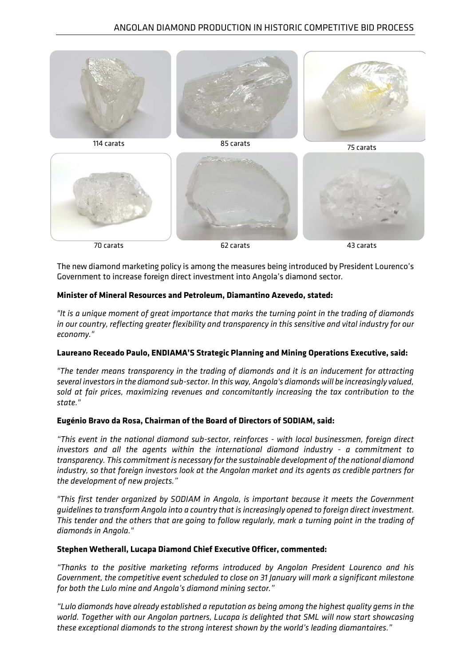

The new diamond marketing policy is among the measures being introduced by President Lourenco's Government to increase foreign direct investment into Angola's diamond sector.

#### **Minister of Mineral Resources and Petroleum, Diamantino Azevedo, stated:**

*"It is a unique moment of great importance that marks the turning point in the trading of diamonds in our country, reflecting greater flexibility and transparency in this sensitive and vital industry for our economy."*

#### **[Laureano Receado Paulo,](http://www.endiama.co.ao/en/about-us/board-members/82) ENDIAMA'S Strategic Planning and Mining Operations Executive, said:**

*"The tender means transparency in the trading of diamonds and it is an inducement for attracting several investors in the diamond sub-sector. In this way, Angola's diamonds will be increasingly valued, sold at fair prices, maximizing revenues and concomitantly increasing the tax contribution to the state."*

#### **Eugénio Bravo da Rosa, Chairman of the Board of Directors of SODIAM, said:**

*"This event in the national diamond sub-sector, reinforces - with local businessmen, foreign direct investors and all the agents within the international diamond industry - a commitment to transparency. This commitment is necessary for the sustainable development of the national diamond industry, so that foreign investors look at the Angolan market and its agents as credible partners for the development of new projects."*

*"This first tender organized by SODIAM in Angola, is important because it meets the Government guidelines to transform Angola into a country that is increasingly opened to foreign direct investment. This tender and the others that are going to follow regularly, mark a turning point in the trading of diamonds in Angola."*

#### **Stephen Wetherall, Lucapa Diamond Chief Executive Officer, commented:**

*"Thanks to the positive marketing reforms introduced by Angolan President Lourenco and his Government, the competitive event scheduled to close on 31 January will mark a significant milestone for both the Lulo mine and Angola's diamond mining sector."*

*"Lulo diamonds have already established a reputation as being among the highest quality gems in the world. Together with our Angolan partners, Lucapa is delighted that SML will now start showcasing these exceptional diamonds to the strong interest shown by the world's leading diamantaires."*